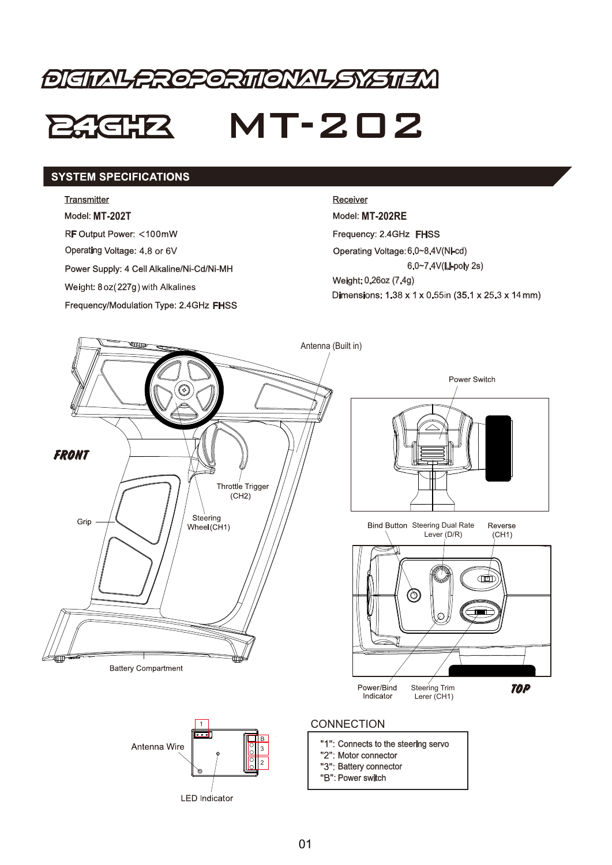# **DIGITAL CROPORITIONAL SYSTEM**

## MT-202 **246.12**

#### **SYSTEM SPECIFICATIONS**

#### **Transmitter**

**Model: MT-202T** 

**RF Output Power: <100mW** 

Operating Voltage: 4.8 or 6V

Power Supply: 4 Cell Alkaline/Ni-Cd/Ni-MH

Frequency/Modulation Type: 2.4GHz FHSS

#### Receiver

**Model: MT-202RE** Frequency: 2.4GHz FHSS Operating Voltage: 6.0~8.4V(Ni-cd) 6.0~7.4V(Li-poly 2s) **227g**) with Alkalines **2007** (7.4g) **227g**) with Alkalines